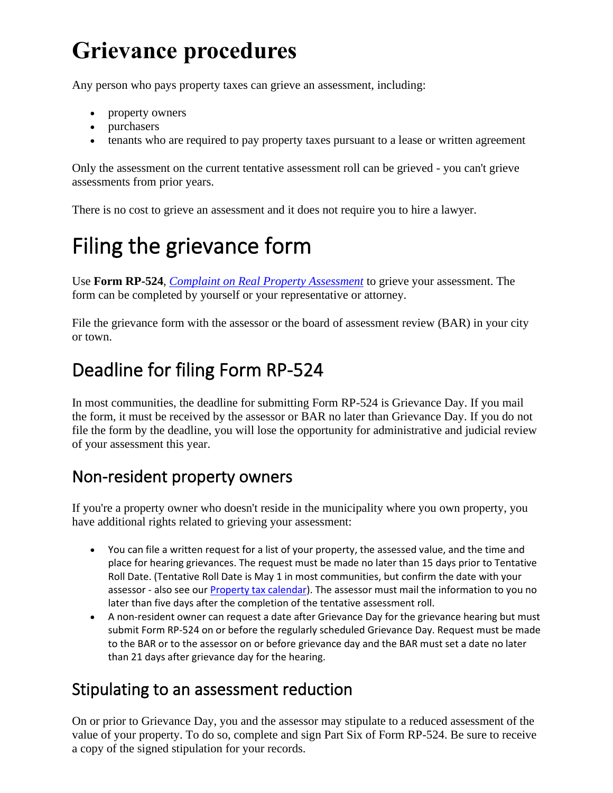# **Grievance procedures**

Any person who pays property taxes can grieve an assessment, including:

- property owners
- purchasers
- tenants who are required to pay property taxes pursuant to a lease or written agreement

Only the assessment on the current tentative assessment roll can be grieved - you can't grieve assessments from prior years.

There is no cost to grieve an assessment and it does not require you to hire a lawyer.

## Filing the grievance form

Use **Form RP-524**, *Complaint on Real Property Assessment* to grieve your assessment. The form can be completed by yourself or your representative or attorney.

File the grievance form with the assessor or the board of assessment review (BAR) in your city or town.

### Deadline for filing Form RP-524

In most communities, the deadline for submitting Form RP-524 is Grievance Day. If you mail the form, it must be received by the assessor or BAR no later than Grievance Day. If you do not file the form by the deadline, you will lose the opportunity for administrative and judicial review of your assessment this year.

#### Non-resident property owners

If you're a property owner who doesn't reside in the municipality where you own property, you have additional rights related to grieving your assessment:

- You can file a written request for a list of your property, the assessed value, and the time and place for hearing grievances. The request must be made no later than 15 days prior to Tentative Roll Date. (Tentative Roll Date is May 1 in most communities, but confirm the date with your assessor - also see our [Property tax calendar\)](https://www.tax.ny.gov/pit/property/learn/proptaxcal.htm). The assessor must mail the information to you no later than five days after the completion of the tentative assessment roll.
- A non-resident owner can request a date after Grievance Day for the grievance hearing but must submit Form RP-524 on or before the regularly scheduled Grievance Day. Request must be made to the BAR or to the assessor on or before grievance day and the BAR must set a date no later than 21 days after grievance day for the hearing.

#### Stipulating to an assessment reduction

On or prior to Grievance Day, you and the assessor may stipulate to a reduced assessment of the value of your property. To do so, complete and sign Part Six of Form RP-524. Be sure to receive a copy of the signed stipulation for your records.